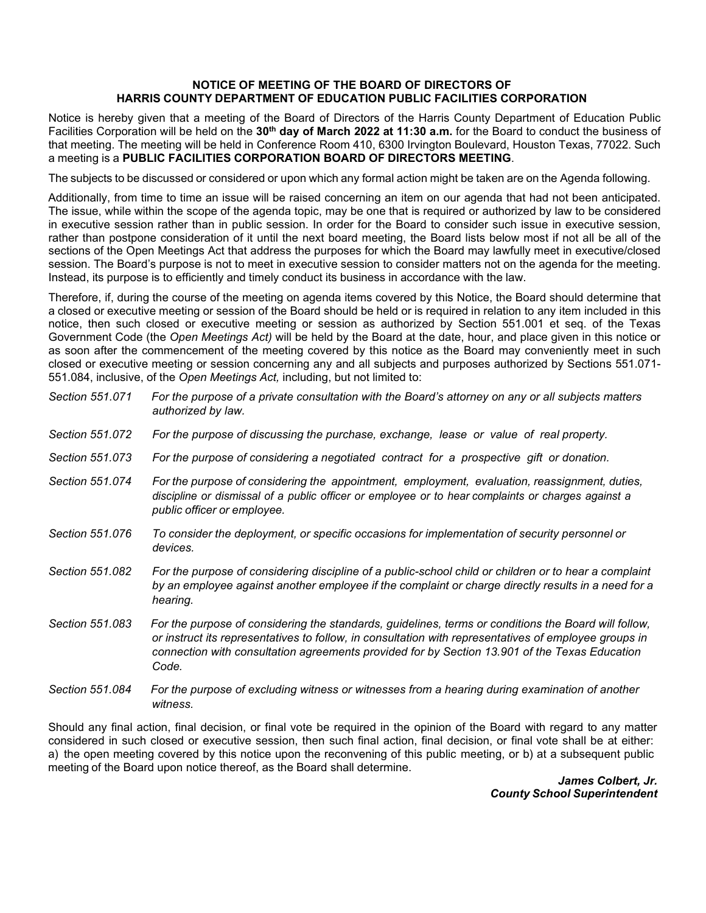## **NOTICE OF MEETING OF THE BOARD OF DIRECTORS OF HARRIS COUNTY DEPARTMENT OF EDUCATION PUBLIC FACILITIES CORPORATION**

Notice is hereby given that a meeting of the Board of Directors of the Harris County Department of Education Public Facilities Corporation will be held on the **30th day of March 2022 at 11:30 a.m.** for the Board to conduct the business of that meeting. The meeting will be held in Conference Room 410, 6300 Irvington Boulevard, Houston Texas, 77022. Such a meeting is a **PUBLIC FACILITIES CORPORATION BOARD OF DIRECTORS MEETING**.

The subjects to be discussed or considered or upon which any formal action might be taken are on the Agenda following.

Additionally, from time to time an issue will be raised concerning an item on our agenda that had not been anticipated. The issue, while within the scope of the agenda topic, may be one that is required or authorized by law to be considered in executive session rather than in public session. In order for the Board to consider such issue in executive session, rather than postpone consideration of it until the next board meeting, the Board lists below most if not all be all of the sections of the Open Meetings Act that address the purposes for which the Board may lawfully meet in executive/closed session. The Board's purpose is not to meet in executive session to consider matters not on the agenda for the meeting. Instead, its purpose is to efficiently and timely conduct its business in accordance with the law.

Therefore, if, during the course of the meeting on agenda items covered by this Notice, the Board should determine that a closed or executive meeting or session of the Board should be held or is required in relation to any item included in this notice, then such closed or executive meeting or session as authorized by Section 551.001 et seq. of the Texas Government Code (the *Open Meetings Act)* will be held by the Board at the date, hour, and place given in this notice or as soon after the commencement of the meeting covered by this notice as the Board may conveniently meet in such closed or executive meeting or session concerning any and all subjects and purposes authorized by Sections 551.071- 551.084, inclusive, of the *Open Meetings Act,* including, but not limited to:

| Section 551.071 | For the purpose of a private consultation with the Board's attorney on any or all subjects matters<br>authorized by law.                                                                                                                                                                                                |
|-----------------|-------------------------------------------------------------------------------------------------------------------------------------------------------------------------------------------------------------------------------------------------------------------------------------------------------------------------|
| Section 551.072 | For the purpose of discussing the purchase, exchange, lease or value of real property.                                                                                                                                                                                                                                  |
| Section 551,073 | For the purpose of considering a negotiated contract for a prospective gift or donation.                                                                                                                                                                                                                                |
| Section 551.074 | For the purpose of considering the appointment, employment, evaluation, reassignment, duties,<br>discipline or dismissal of a public officer or employee or to hear complaints or charges against a<br>public officer or employee.                                                                                      |
| Section 551,076 | To consider the deployment, or specific occasions for implementation of security personnel or<br>devices.                                                                                                                                                                                                               |
| Section 551.082 | For the purpose of considering discipline of a public-school child or children or to hear a complaint<br>by an employee against another employee if the complaint or charge directly results in a need for a<br>hearing.                                                                                                |
| Section 551.083 | For the purpose of considering the standards, guidelines, terms or conditions the Board will follow,<br>or instruct its representatives to follow, in consultation with representatives of employee groups in<br>connection with consultation agreements provided for by Section 13.901 of the Texas Education<br>Code. |
| Section 551,084 | For the purpose of excluding witness or witnesses from a hearing during examination of another                                                                                                                                                                                                                          |

Should any final action, final decision, or final vote be required in the opinion of the Board with regard to any matter considered in such closed or executive session, then such final action, final decision, or final vote shall be at either: a) the open meeting covered by this notice upon the reconvening of this public meeting, or b) at a subsequent public meeting of the Board upon notice thereof, as the Board shall determine.

*witness.*

*James Colbert, Jr. County School Superintendent*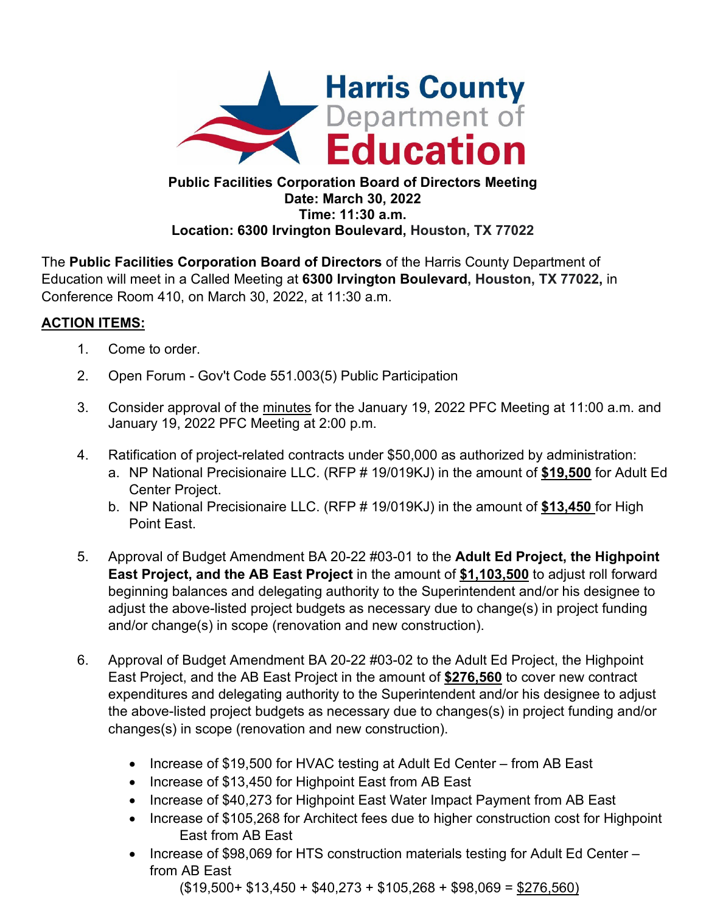

## **Public Facilities Corporation Board of Directors Meeting Date: March 30, 2022 Time: 11:30 a.m. Location: 6300 Irvington Boulevard, Houston, TX 77022**

The **Public Facilities Corporation Board of Directors** of the Harris County Department of Education will meet in a Called Meeting at **6300 Irvington Boulevard, Houston, TX 77022,** in Conference Room 410, on March 30, 2022, at 11:30 a.m.

## **ACTION ITEMS:**

- 1. Come to order.
- 2. Open Forum Gov't Code 551.003(5) Public Participation
- 3. Consider approval of the minutes for the January 19, 2022 PFC Meeting at 11:00 a.m. and January 19, 2022 PFC Meeting at 2:00 p.m.
- 4. Ratification of project-related contracts under \$50,000 as authorized by administration:
	- a. NP National Precisionaire LLC. (RFP # 19/019KJ) in the amount of **\$19,500** for Adult Ed Center Project.
	- b. NP National Precisionaire LLC. (RFP # 19/019KJ) in the amount of **\$13,450** for High Point East.
- 5. Approval of Budget Amendment BA 20-22 #03-01 to the **Adult Ed Project, the Highpoint East Project, and the AB East Project** in the amount of **\$1,103,500** to adjust roll forward beginning balances and delegating authority to the Superintendent and/or his designee to adjust the above-listed project budgets as necessary due to change(s) in project funding and/or change(s) in scope (renovation and new construction).
- 6. Approval of Budget Amendment BA 20-22 #03-02 to the Adult Ed Project, the Highpoint East Project, and the AB East Project in the amount of **\$276,560** to cover new contract expenditures and delegating authority to the Superintendent and/or his designee to adjust the above-listed project budgets as necessary due to changes(s) in project funding and/or changes(s) in scope (renovation and new construction).
	- Increase of \$19,500 for HVAC testing at Adult Ed Center from AB East
	- Increase of \$13,450 for Highpoint East from AB East
	- Increase of \$40,273 for Highpoint East Water Impact Payment from AB East
	- Increase of \$105,268 for Architect fees due to higher construction cost for Highpoint East from AB East
	- Increase of \$98,069 for HTS construction materials testing for Adult Ed Center from AB East

 $($19,500 + $13,450 + $40,273 + $105,268 + $98,069 = $276,560)$